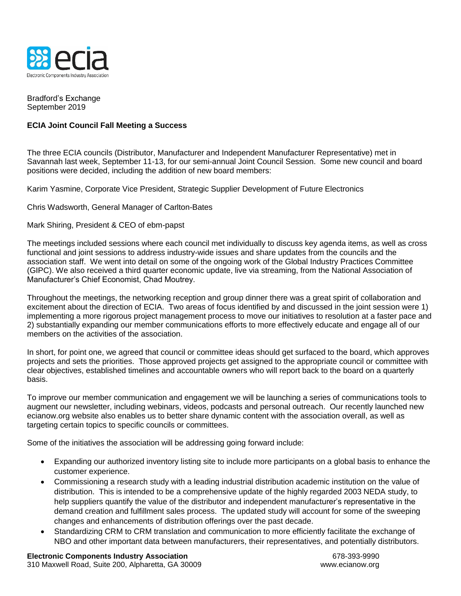

Bradford's Exchange September 2019

## **ECIA Joint Council Fall Meeting a Success**

The three ECIA councils (Distributor, Manufacturer and Independent Manufacturer Representative) met in Savannah last week, September 11-13, for our semi-annual Joint Council Session. Some new council and board positions were decided, including the addition of new board members:

Karim Yasmine, Corporate Vice President, Strategic Supplier Development of Future Electronics

Chris Wadsworth, General Manager of Carlton-Bates

## Mark Shiring, President & CEO of ebm-papst

The meetings included sessions where each council met individually to discuss key agenda items, as well as cross functional and joint sessions to address industry-wide issues and share updates from the councils and the association staff. We went into detail on some of the ongoing work of the Global Industry Practices Committee (GIPC). We also received a third quarter economic update, live via streaming, from the National Association of Manufacturer's Chief Economist, Chad Moutrey.

Throughout the meetings, the networking reception and group dinner there was a great spirit of collaboration and excitement about the direction of ECIA. Two areas of focus identified by and discussed in the joint session were 1) implementing a more rigorous project management process to move our initiatives to resolution at a faster pace and 2) substantially expanding our member communications efforts to more effectively educate and engage all of our members on the activities of the association.

In short, for point one, we agreed that council or committee ideas should get surfaced to the board, which approves projects and sets the priorities. Those approved projects get assigned to the appropriate council or committee with clear objectives, established timelines and accountable owners who will report back to the board on a quarterly basis.

To improve our member communication and engagement we will be launching a series of communications tools to augment our newsletter, including webinars, videos, podcasts and personal outreach. Our recently launched new ecianow.org website also enables us to better share dynamic content with the association overall, as well as targeting certain topics to specific councils or committees.

Some of the initiatives the association will be addressing going forward include:

- Expanding our authorized inventory listing site to include more participants on a global basis to enhance the customer experience.
- Commissioning a research study with a leading industrial distribution academic institution on the value of distribution. This is intended to be a comprehensive update of the highly regarded 2003 NEDA study, to help suppliers quantify the value of the distributor and independent manufacturer's representative in the demand creation and fulfillment sales process. The updated study will account for some of the sweeping changes and enhancements of distribution offerings over the past decade.
- Standardizing CRM to CRM translation and communication to more efficiently facilitate the exchange of NBO and other important data between manufacturers, their representatives, and potentially distributors.